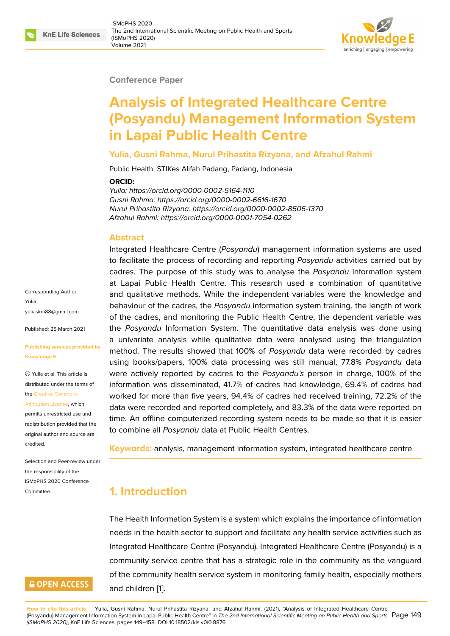#### **Conference Paper**

# **Analysis of Integrated Healthcare Centre (Posyandu) Management Information System in Lapai Public Health Centre**

#### **Yulia, Gusni Rahma, Nurul Prihastita Rizyana, and Afzahul Rahmi**

Public Health, STIKes Alifah Padang, Padang, Indonesia

#### **ORCID:**

*Yulia: https://orcid.org/0000-0002-5164-1110 Gusni Rahma: https://orcid.org/0000-0002-6616-1670 Nurul Prihastita Rizyana: https://orcid.org/0000-0002-8505-1370 Afzahul Rahmi: https://orcid.org/0000-0001-7054-0262*

#### **Abstract**

Integrated Healthcare Centre (*Posyandu*) management information systems are used to facilitate the process of recording and reporting *Posyandu* activities carried out by cadres. The purpose of this study was to analyse the *Posyandu* information system at Lapai Public Health Centre. This research used a combination of quantitative and qualitative methods. While the independent variables were the knowledge and behaviour of the cadres, the *Posyandu* information system training, the length of work of the cadres, and monitoring the Public Health Centre, the dependent variable was the *Posyandu* Information System. The quantitative data analysis was done using a univariate analysis while qualitative data were analysed using the triangulation method. The results showed that 100% of *Posyandu* data were recorded by cadres using books/papers, 100% data processing was still manual, 77.8% *Posyandu* data were actively reported by cadres to the *Posyandu's* person in charge, 100% of the information was disseminated, 41.7% of cadres had knowledge, 69.4% of cadres had worked for more than five years, 94.4% of cadres had received training, 72.2% of the data were recorded and reported completely, and 83.3% of the data were reported on time. An offline computerized recording system needs to be made so that it is easier to combine all *Posyandu* data at Public Health Centres.

**Keywords:** analysis, management information system, integrated healthcare centre

# **1. Introduction**

The Health Information System is a system which explains the importance of information needs in the health sector to support and facilitate any health service activities such as Integrated Healthcare Centre (Posyandu). Integrated Healthcare Centre (Posyandu) is a community service centre that has a strategic role in the community as the vanguard of the community health service system in monitoring family health, especially mothers and children [1].

Corresponding Author: Yulia yuliaskm88@gmail.com

Published: 25 March 2021

#### **[Publishing services pro](mailto:yuliaskm88@gmail.com)vided by Knowledge E**

Yulia et al. This article is distributed under the terms of the Creative Commons

Attribution License, which

permits unrestricted use and redistribution provided that the orig[inal author and sou](https://creativecommons.org/licenses/by/4.0/)rce are [credited.](https://creativecommons.org/licenses/by/4.0/)

Selection and Peer-review under the responsibility of the ISMoPHS 2020 Conference Committee.

# **GOPEN ACCESS**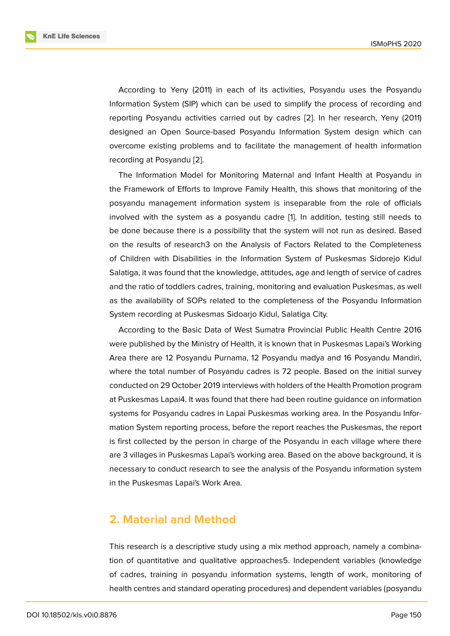According to Yeny (2011) in each of its activities, Posyandu uses the Posyandu Information System (SIP) which can be used to simplify the process of recording and reporting Posyandu activities carried out by cadres [2]. In her research, Yeny (2011) designed an Open Source-based Posyandu Information System design which can overcome existing problems and to facilitate the management of health information recording at Posyandu [2].

The Information Model for Monitoring Maternal and Infant Health at Posyandu in the Framework of Efforts to Improve Family Health, this shows that monitoring of the posyandu managemen[t](#page-8-1) information system is inseparable from the role of officials involved with the system as a posyandu cadre [1]. In addition, testing still needs to be done because there is a possibility that the system will not run as desired. Based on the results of research3 on the Analysis of Factors Related to the Completeness of Children with Disabilities in the Information S[y](#page-8-0)stem of Puskesmas Sidorejo Kidul Salatiga, it was found that the knowledge, attitudes, age and length of service of cadres and the ratio of toddlers cadres, training, monitoring and evaluation Puskesmas, as well as the availability of SOPs related to the completeness of the Posyandu Information System recording at Puskesmas Sidoarjo Kidul, Salatiga City.

According to the Basic Data of West Sumatra Provincial Public Health Centre 2016 were published by the Ministry of Health, it is known that in Puskesmas Lapai's Working Area there are 12 Posyandu Purnama, 12 Posyandu madya and 16 Posyandu Mandiri, where the total number of Posyandu cadres is 72 people. Based on the initial survey conducted on 29 October 2019 interviews with holders of the Health Promotion program at Puskesmas Lapai4. It was found that there had been routine guidance on information systems for Posyandu cadres in Lapai Puskesmas working area. In the Posyandu Information System reporting process, before the report reaches the Puskesmas, the report is first collected by the person in charge of the Posyandu in each village where there are 3 villages in Puskesmas Lapai's working area. Based on the above background, it is necessary to conduct research to see the analysis of the Posyandu information system in the Puskesmas Lapai's Work Area.

### **2. Material and Method**

This research is a descriptive study using a mix method approach, namely a combination of quantitative and qualitative approaches5. Independent variables (knowledge of cadres, training in posyandu information systems, length of work, monitoring of health centres and standard operating procedures) and dependent variables (posyandu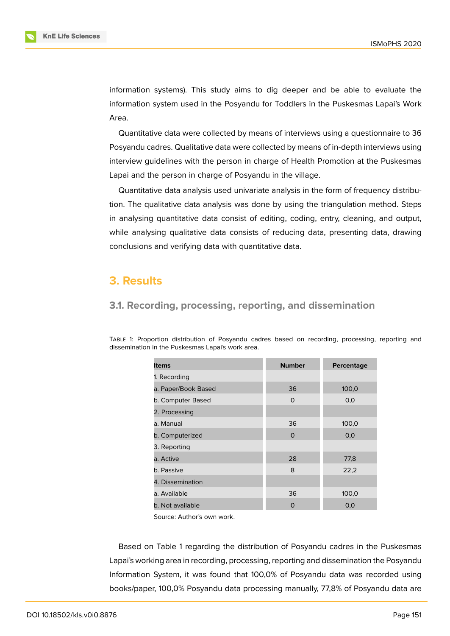information systems). This study aims to dig deeper and be able to evaluate the information system used in the Posyandu for Toddlers in the Puskesmas Lapai's Work Area.

Quantitative data were collected by means of interviews using a questionnaire to 36 Posyandu cadres. Qualitative data were collected by means of in-depth interviews using interview guidelines with the person in charge of Health Promotion at the Puskesmas Lapai and the person in charge of Posyandu in the village.

Quantitative data analysis used univariate analysis in the form of frequency distribution. The qualitative data analysis was done by using the triangulation method. Steps in analysing quantitative data consist of editing, coding, entry, cleaning, and output, while analysing qualitative data consists of reducing data, presenting data, drawing conclusions and verifying data with quantitative data.

### **3. Results**

### **3.1. Recording, processing, reporting, and dissemination**

TABLE 1: Proportion distribution of Posyandu cadres based on recording, processing, reporting and dissemination in the Puskesmas Lapai's work area.

| Items               | <b>Number</b> | Percentage |
|---------------------|---------------|------------|
| 1. Recording        |               |            |
| a. Paper/Book Based | 36            | 100,0      |
| b. Computer Based   | $\Omega$      | 0,0        |
| 2. Processing       |               |            |
| a. Manual           | 36            | 100,0      |
| b. Computerized     | $\Omega$      | 0,0        |
| 3. Reporting        |               |            |
| a. Active           | 28            | 77,8       |
| b. Passive          | 8             | 22,2       |
| 4. Dissemination    |               |            |
| a. Available        | 36            | 100,0      |
| b. Not available    | 0             | 0,0        |

Source: Author's own work.

Based on Table 1 regarding the distribution of Posyandu cadres in the Puskesmas Lapai's working area in recording, processing, reporting and dissemination the Posyandu Information System, it was found that 100,0% of Posyandu data was recorded using books/paper, 100,0% Posyandu data processing manually, 77,8% of Posyandu data are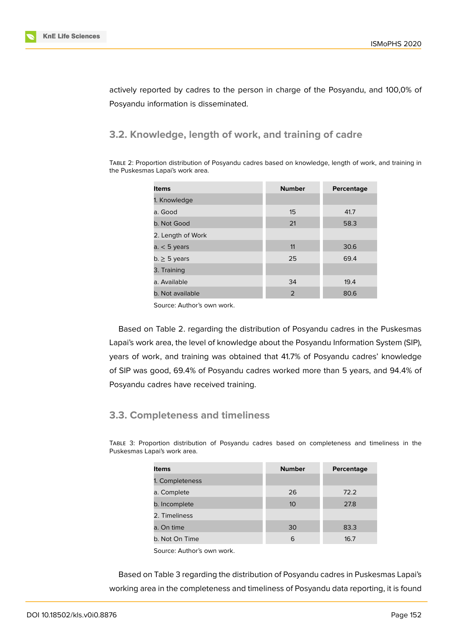actively reported by cadres to the person in charge of the Posyandu, and 100,0% of Posyandu information is disseminated.

### **3.2. Knowledge, length of work, and training of cadre**

TABLE 2: Proportion distribution of Posyandu cadres based on knowledge, length of work, and training in the Puskesmas Lapai's work area.

| <b>Items</b>      | <b>Number</b>  | Percentage |
|-------------------|----------------|------------|
| 1. Knowledge      |                |            |
| a. Good           | 15             | 41.7       |
| b. Not Good       | 21             | 58.3       |
| 2. Length of Work |                |            |
| a. $<$ 5 years    | 11             | 30.6       |
| $b. \geq 5$ years | 25             | 69.4       |
| 3. Training       |                |            |
| a. Available      | 34             | 19.4       |
| b. Not available  | $\overline{2}$ | 80.6       |

Source: Author's own work.

Based on Table 2. regarding the distribution of Posyandu cadres in the Puskesmas Lapai's work area, the level of knowledge about the Posyandu Information System (SIP), years of work, and training was obtained that 41.7% of Posyandu cadres' knowledge of SIP was good, 69.4% of Posyandu cadres worked more than 5 years, and 94.4% of Posyandu cadres have received training.

#### **3.3. Completeness and timeliness**

TABLE 3: Proportion distribution of Posyandu cadres based on completeness and timeliness in the Puskesmas Lapai's work area.

| <b>Items</b>    | <b>Number</b> | Percentage |
|-----------------|---------------|------------|
| 1. Completeness |               |            |
| a. Complete     | 26            | 72.2       |
| b. Incomplete   | 10            | 27.8       |
| 2. Timeliness   |               |            |
| a. On time      | 30            | 83.3       |
| b. Not On Time  | 6             | 16.7       |

Source: Author's own work.

Based on Table 3 regarding the distribution of Posyandu cadres in Puskesmas Lapai's working area in the completeness and timeliness of Posyandu data reporting, it is found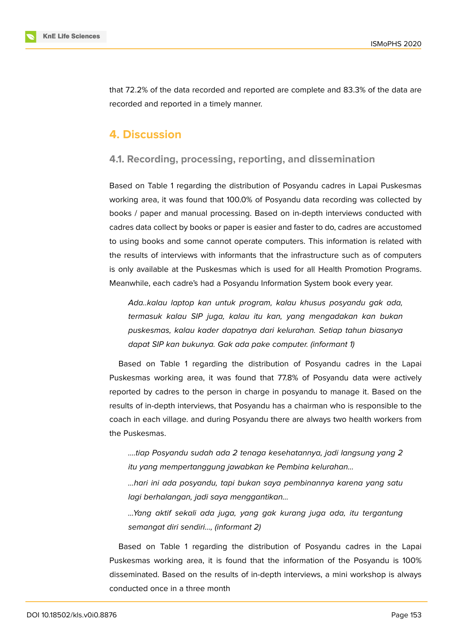

that 72.2% of the data recorded and reported are complete and 83.3% of the data are recorded and reported in a timely manner.

### **4. Discussion**

#### **4.1. Recording, processing, reporting, and dissemination**

Based on Table 1 regarding the distribution of Posyandu cadres in Lapai Puskesmas working area, it was found that 100.0% of Posyandu data recording was collected by books / paper and manual processing. Based on in-depth interviews conducted with cadres data collect by books or paper is easier and faster to do, cadres are accustomed to using books and some cannot operate computers. This information is related with the results of interviews with informants that the infrastructure such as of computers is only available at the Puskesmas which is used for all Health Promotion Programs. Meanwhile, each cadre's had a Posyandu Information System book every year.

*Ada..kalau laptop kan untuk program, kalau khusus posyandu gak ada, termasuk kalau SIP juga, kalau itu kan, yang mengadakan kan bukan puskesmas, kalau kader dapatnya dari kelurahan. Setiap tahun biasanya dapat SIP kan bukunya. Gak ada pake computer. (informant 1)*

Based on Table 1 regarding the distribution of Posyandu cadres in the Lapai Puskesmas working area, it was found that 77.8% of Posyandu data were actively reported by cadres to the person in charge in posyandu to manage it. Based on the results of in-depth interviews, that Posyandu has a chairman who is responsible to the coach in each village. and during Posyandu there are always two health workers from the Puskesmas.

*….tiap Posyandu sudah ada 2 tenaga kesehatannya, jadi langsung yang 2 itu yang mempertanggung jawabkan ke Pembina kelurahan…*

*…hari ini ada posyandu, tapi bukan saya pembinannya karena yang satu lagi berhalangan, jadi saya menggantikan…*

*…Yang aktif sekali ada juga, yang gak kurang juga ada, itu tergantung semangat diri sendiri…, (informant 2)*

Based on Table 1 regarding the distribution of Posyandu cadres in the Lapai Puskesmas working area, it is found that the information of the Posyandu is 100% disseminated. Based on the results of in-depth interviews, a mini workshop is always conducted once in a three month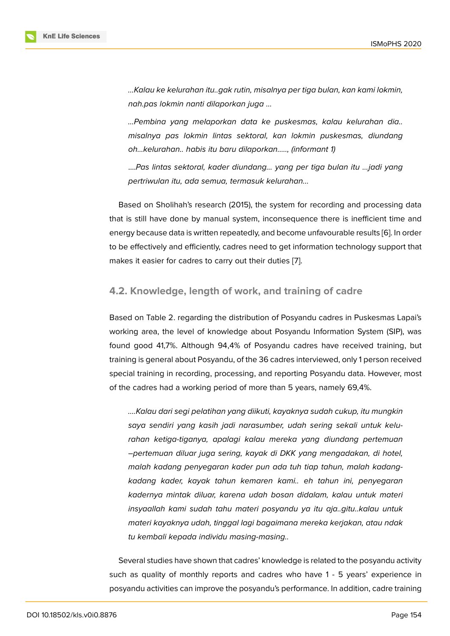*…Kalau ke kelurahan itu..gak rutin, misalnya per tiga bulan, kan kami lokmin, nah.pas lokmin nanti dilaporkan juga …*

*…Pembina yang melaporkan data ke puskesmas, kalau kelurahan dia.. misalnya pas lokmin lintas sektoral, kan lokmin puskesmas, diundang oh…kelurahan.. habis itu baru dilaporkan....., (informant 1)*

....*Pas lintas sektoral, kader diundang… yang per tiga bulan itu …jadi yang pertriwulan itu, ada semua, termasuk kelurahan...*

Based on Sholihah's research (2015), the system for recording and processing data that is still have done by manual system, inconsequence there is inefficient time and energy because data is written repeatedly, and become unfavourable results [6]. In order to be effectively and efficiently, cadres need to get information technology support that makes it easier for cadres to carry out their duties [7].

#### **4.2. Knowledge, length of work, and tr[ai](#page-8-2)ning of cadre**

Based on Table 2. regarding the distribution of Posyandu cadres in Puskesmas Lapai's working area, the level of knowledge about Posyandu Information System (SIP), was found good 41,7%. Although 94,4% of Posyandu cadres have received training, but training is general about Posyandu, of the 36 cadres interviewed, only 1 person received special training in recording, processing, and reporting Posyandu data. However, most of the cadres had a working period of more than 5 years, namely 69,4%.

*….Kalau dari segi pelatihan yang diikuti, kayaknya sudah cukup, itu mungkin saya sendiri yang kasih jadi narasumber, udah sering sekali untuk kelurahan ketiga-tiganya, apalagi kalau mereka yang diundang pertemuan –pertemuan diluar juga sering, kayak di DKK yang mengadakan, di hotel, malah kadang penyegaran kader pun ada tuh tiap tahun, malah kadangkadang kader, kayak tahun kemaren kami.. eh tahun ini, penyegaran kadernya mintak diluar, karena udah bosan didalam, kalau untuk materi insyaallah kami sudah tahu materi posyandu ya itu aja..gitu..kalau untuk materi kayaknya udah, tinggal lagi bagaimana mereka kerjakan, atau ndak tu kembali kepada individu masing-masing..*

Several studies have shown that cadres' knowledge is related to the posyandu activity such as quality of monthly reports and cadres who have 1 - 5 years' experience in posyandu activities can improve the posyandu's performance. In addition, cadre training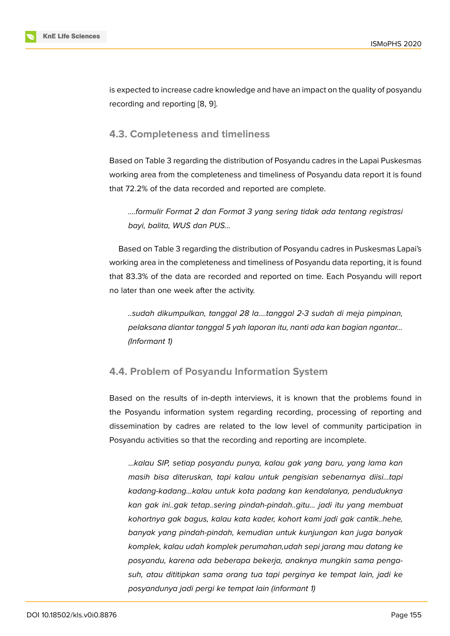is expected to increase cadre knowledge and have an impact on the quality of posyandu recording and reporting [8, 9].

### **4.3. Completeness [a](#page-8-3)[nd](#page-8-4) timeliness**

Based on Table 3 regarding the distribution of Posyandu cadres in the Lapai Puskesmas working area from the completeness and timeliness of Posyandu data report it is found that 72.2% of the data recorded and reported are complete.

*….formulir Format 2 dan Format 3 yang sering tidak ada tentang registrasi bayi, balita, WUS dan PUS…*

Based on Table 3 regarding the distribution of Posyandu cadres in Puskesmas Lapai's working area in the completeness and timeliness of Posyandu data reporting, it is found that 83.3% of the data are recorded and reported on time. Each Posyandu will report no later than one week after the activity.

*..sudah dikumpulkan, tanggal 28 la….tanggal 2-3 sudah di meja pimpinan, pelaksana diantar tanggal 5 yah laporan itu, nanti ada kan bagian ngantar… (Informant 1)*

### **4.4. Problem of Posyandu Information System**

Based on the results of in-depth interviews, it is known that the problems found in the Posyandu information system regarding recording, processing of reporting and dissemination by cadres are related to the low level of community participation in Posyandu activities so that the recording and reporting are incomplete.

…*kalau SIP, setiap posyandu punya, kalau gak yang baru, yang lama kan masih bisa diteruskan, tapi kalau untuk pengisian sebenarnya diisi…tapi kadang-kadang…kalau untuk kota padang kan kendalanya, penduduknya kan gak ini..gak tetap..sering pindah-pindah..gitu… jadi itu yang membuat kohortnya gak bagus, kalau kata kader, kohort kami jadi gak cantik..hehe, banyak yang pindah-pindah, kemudian untuk kunjungan kan juga banyak komplek, kalau udah komplek perumahan,udah sepi jarang mau datang ke posyandu, karena ada beberapa bekerja, anaknya mungkin sama pengasuh, atau dititipkan sama orang tua tapi perginya ke tempat lain, jadi ke posyandunya jadi pergi ke tempat lain (informant 1)*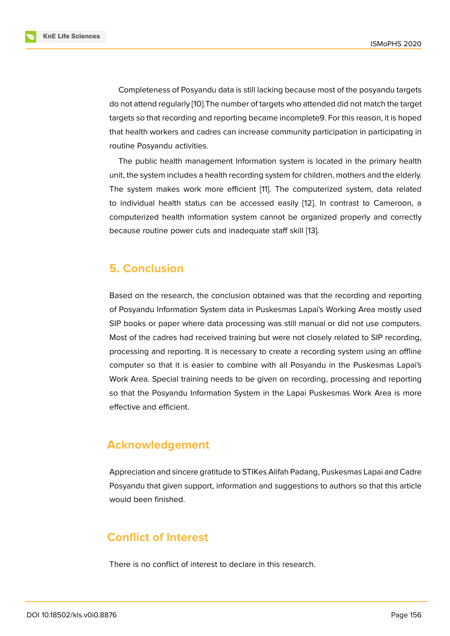Completeness of Posyandu data is still lacking because most of the posyandu targets do not attend regularly [10].The number of targets who attended did not match the target targets so that recording and reporting became incomplete9. For this reason, it is hoped that health workers and cadres can increase community participation in participating in routine Posyandu activ[itie](#page-8-5)s.

The public health management Information system is located in the primary health unit, the system includes a health recording system for children, mothers and the elderly. The system makes work more efficient [11]. The computerized system, data related to individual health status can be accessed easily [12]. In contrast to Cameroon, a computerized health information system cannot be organized properly and correctly because routine power cuts and inadequ[ate](#page-8-6) staff skill [13].

## **5. Conclusion**

Based on the research, the conclusion obtained was that the recording and reporting of Posyandu Information System data in Puskesmas Lapai's Working Area mostly used SIP books or paper where data processing was still manual or did not use computers. Most of the cadres had received training but were not closely related to SIP recording, processing and reporting. It is necessary to create a recording system using an offline computer so that it is easier to combine with all Posyandu in the Puskesmas Lapai's Work Area. Special training needs to be given on recording, processing and reporting so that the Posyandu Information System in the Lapai Puskesmas Work Area is more effective and efficient.

# **Acknowledgement**

Appreciation and sincere gratitude to STIKes Alifah Padang, Puskesmas Lapai and Cadre Posyandu that given support, information and suggestions to authors so that this article would been finished.

# **Conflict of Interest**

There is no conflict of interest to declare in this research.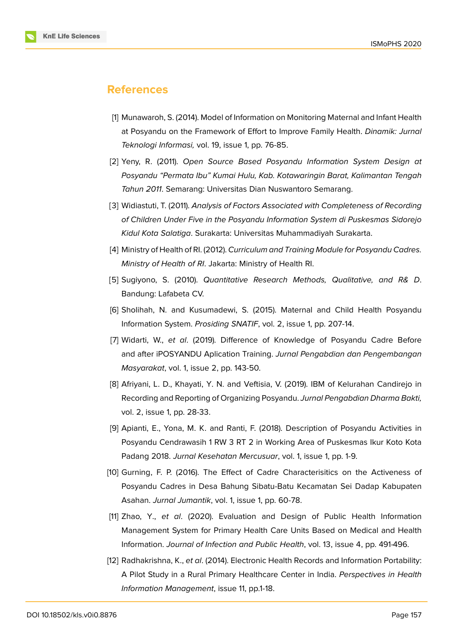

### **References**

- <span id="page-8-0"></span>[1] Munawaroh, S. (2014). Model of Information on Monitoring Maternal and Infant Health at Posyandu on the Framework of Effort to Improve Family Health. *Dinamik: Jurnal Teknologi Informasi,* vol. 19, issue 1, pp. 76-85.
- <span id="page-8-1"></span>[2] Yeny, R. (2011). *Open Source Based Posyandu Information System Design at Posyandu "Permata Ibu" Kumai Hulu, Kab. Kotawaringin Barat, Kalimantan Tengah Tahun 2011*. Semarang: Universitas Dian Nuswantoro Semarang.
- [3] Widiastuti, T. (2011). *Analysis of Factors Associated with Completeness of Recording of Children Under Five in the Posyandu Information System di Puskesmas Sidorejo Kidul Kota Salatiga*. Surakarta: Universitas Muhammadiyah Surakarta.
- [4] Ministry of Health of RI. (2012). *Curriculum and Training Module for Posyandu Cadres. Ministry of Health of RI*. Jakarta: Ministry of Health RI.
- [5] Sugiyono, S. (2010). *Quantitative Research Methods, Qualitative, and R& D*. Bandung: Lafabeta CV.
- [6] Sholihah, N. and Kusumadewi, S. (2015). Maternal and Child Health Posyandu Information System. *Prosiding SNATIF*, vol. 2, issue 1, pp. 207-14.
- <span id="page-8-2"></span>[7] Widarti, W., *et al*. (2019). Difference of Knowledge of Posyandu Cadre Before and after iPOSYANDU Aplication Training. *Jurnal Pengabdian dan Pengembangan Masyarakat*, vol. 1, issue 2, pp. 143-50.
- <span id="page-8-3"></span>[8] Afriyani, L. D., Khayati, Y. N. and Veftisia, V. (2019). IBM of Kelurahan Candirejo in Recording and Reporting of Organizing Posyandu. *Jurnal Pengabdian Dharma Bakti,* vol. 2, issue 1, pp. 28-33.
- <span id="page-8-4"></span>[9] Apianti, E., Yona, M. K. and Ranti, F. (2018). Description of Posyandu Activities in Posyandu Cendrawasih 1 RW 3 RT 2 in Working Area of Puskesmas Ikur Koto Kota Padang 2018. *Jurnal Kesehatan Mercusuar*, vol. 1, issue 1, pp. 1-9.
- <span id="page-8-5"></span>[10] Gurning, F. P. (2016). The Effect of Cadre Characterisitics on the Activeness of Posyandu Cadres in Desa Bahung Sibatu-Batu Kecamatan Sei Dadap Kabupaten Asahan. *Jurnal Jumantik*, vol. 1, issue 1, pp. 60-78.
- <span id="page-8-6"></span>[11] Zhao, Y., *et al*. (2020). Evaluation and Design of Public Health Information Management System for Primary Health Care Units Based on Medical and Health Information. *Journal of Infection and Public Health*, vol. 13, issue 4, pp. 491-496.
- [12] Radhakrishna, K., *et al*. (2014). Electronic Health Records and Information Portability: A Pilot Study in a Rural Primary Healthcare Center in India. *Perspectives in Health Information Management*, issue 11, pp.1-18.